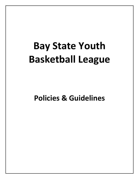# **Bay State Youth Basketball League**

**Policies & Guidelines**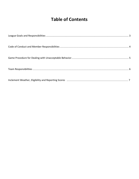## **Table of Contents**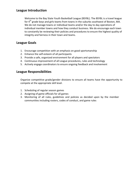## **League Introduction**

Welcome to the Bay State Youth Basketball League (BSYBL). The BSYBL is a travel league for  $4<sup>th</sup>$  grade boys and girls teams from towns in the suburbs southwest of Boston, MA. We do not manage towns or individual teams and/or the day to day operations of individual member towns and how they conduct business. We do encourage each town to constantly be reviewing their policies and procedures to ensure the highest quality of integrity and fairness in their town and teams.

## **League Goals**

- 1. Encourage competition with an emphasis on good sportsmanship
- 2. Enhance the self-esteem of all participants
- 3. Provide a safe, organized environment for all players and spectators
- 4. Continuous improvement of all League procedures, rules and technology
- 5. Actively engage coordinators to ensure ongoing feedback and involvement

## **League Responsibilities**

Organize competitive grade/gender divisions to ensure all teams have the opportunity to compete at the appropriate skill level.

- 1. Scheduling of regular season games
- 2. Assigning of game officials for all games
- 3. Monitoring of all rules, guidelines and policies as decided upon by the member communities including rosters, codes of conduct, and game rules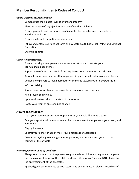## **Member Responsibilities & Codes of Conduct**

#### *Game Officials Responsibilities:*

Demonstrate the highest level of effort and integrity Alert the League of any ejections or code of conduct violations Ensure games do not start more than 5 minutes before scheduled time unless weather is an issue Ensure a safe and competitive environment Follow and enforce all rules set forth by Bay State Youth Basketball, MIAA and National Federation Show up on time *Coach Responsibilities:* Ensure that all players, parents and other spectators demonstrate good sportsmanship at all times Support the referees and refrain from any derogatory comments towards them Refrain from actions or words that negatively impact the self-esteem of your players

Do not allow players to make derogatory comments towards other players/officials

NO trash talking

Support positive postgame exchange between players and coaches

Avoid rough or dirty play

Update all rosters prior to the start of the season

Notify your team of any schedule change

#### **Player Code of Conduct:**

Treat your teammates and your opponents as you would like to be treated

Be a good sport at all times and remember you represent your parents, your team, and your team

Play by the rules

Control your behavior at all times - foul language is unacceptable

Do not do anything to endanger your opponents, your teammates, your coaches, yourself or the officials

#### *Parent/Spectator Code of Conduct:*

Always keep in mind that the players are grade school children trying to learn a game, the team concept, improve their skills, and learn life lessons. They are NOT playing for the entertainment of the spectators.

Applaud good performances by both teams and congratulate all players regardless of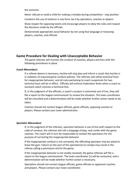the outcome

Never ridicule or scold a child for making a mistake during competition - stay positive

Condemn the use of violence in any form, be it by spectators, coaches or players

Show respect for opposing teams and encourage players to obey the rules and respect the decisions made by the officials

Demonstrate appropriate social behavior by not using foul language or harassing players, coaches, and officials

## **Game Procedure for Dealing with Unacceptable Behavior**

The game referees will monitor the conduct of coaches, players and fans with the following procedures in place.

#### *Coach Misconduct:*

If a referee deems it necessary, he/she will stop play and inform a coach that he/she is in violation of required game conduct policies. The referees will utilize technical fouls for inappropriate behavior, and all rules pertaining to coach suspension for two technical fouls will be in effect. Officials will enforce Federation Rules when a coach or assistant coach receives a technical foul.

If, in the judgment of the officials, a coach's conduct is extremely out of line, they will file a report to the league commissioner to review the situation. The town coordinator will be consulted and a determination will be made whether further action needs to be taken.

Coaches should not contact league officials, game officials, opposing coaches or players. Please contact your town administrator.

#### *Spectator Misconduct:*

If, in the judgment of the referees, spectator behavior is out of line with respect to the code of conduct, the referees will call a stoppage of play, and confer with the game coaches. The coach will in turn be responsible to contact the spectators for the purpose of correcting the inappropriate behavior.

If the inappropriate conduct is not corrected, the offending spectator may be asked to leave the gym. Failure on the part of the spectator(s) to comply may result in the referee calling a premature end to the game.

If the inappropriate behavior is not readily resolved, the game referees will file a report to the league commissioner. The town coordinator (s) will be contacted, and a determination will be made whether further action is necessary.

Spectators should not contact league officials, game officials or opponent coaches and players. Please contact your town coordinator.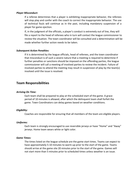#### *Player Misconduct:*

If a referee determines that a player is exhibiting inappropriate behavior, the referees will stop play and confer with the coach to correct the inappropriate behavior. The use of technical fouls will continue as in the past, including mandatory suspension of a player for game ejection.

If, in the judgment of the officials, a player's conduct is extremely out of line, they will file a report to the head of referees who in turn will contact the league commissioner to review the situation. The town coordinator will be consulted and a determination will be made whether further action needs to be taken.

#### *Subsequent Action Penalties:*

If it is determined by the league officials, head of referees, and the town coordinator that misconduct is of such a severe nature that a meeting is required to determine if further penalties or sanctions should be imposed on the offending parties, the league commissioner will call a meeting of involved parties to review the incident. Failure of involved parties to attend the meeting may result in suspension of play by the team(s) involved until the issue is resolved.

### **Team Responsibilities**

#### *Arriving On Time:*

Each team shall be prepared to play at the scheduled start of the game. A grace period of 10 minutes is allowed, after which the delinquent team shall forfeit the game. Town Coordinators can delay games based on weather conditions.

#### *Eligibility:*

Coaches are responsible for ensuring that all members of the team are eligible players.

#### *Uniforms:*

Each team is strongly encouraged to use reversible jerseys or have "Home" and "Away" jerseys. Home team wears white or light color.

#### *Game Times:*

The times listed on the league schedule are the game start times. Teams can expect to have approximately 5-10 minutes to warm-up prior to the start of the game. Teams should arrive at the game site 20 minutes prior to the start of the game. Games will not start more than 5 minutes prior to scheduled times unless weather is an issue.